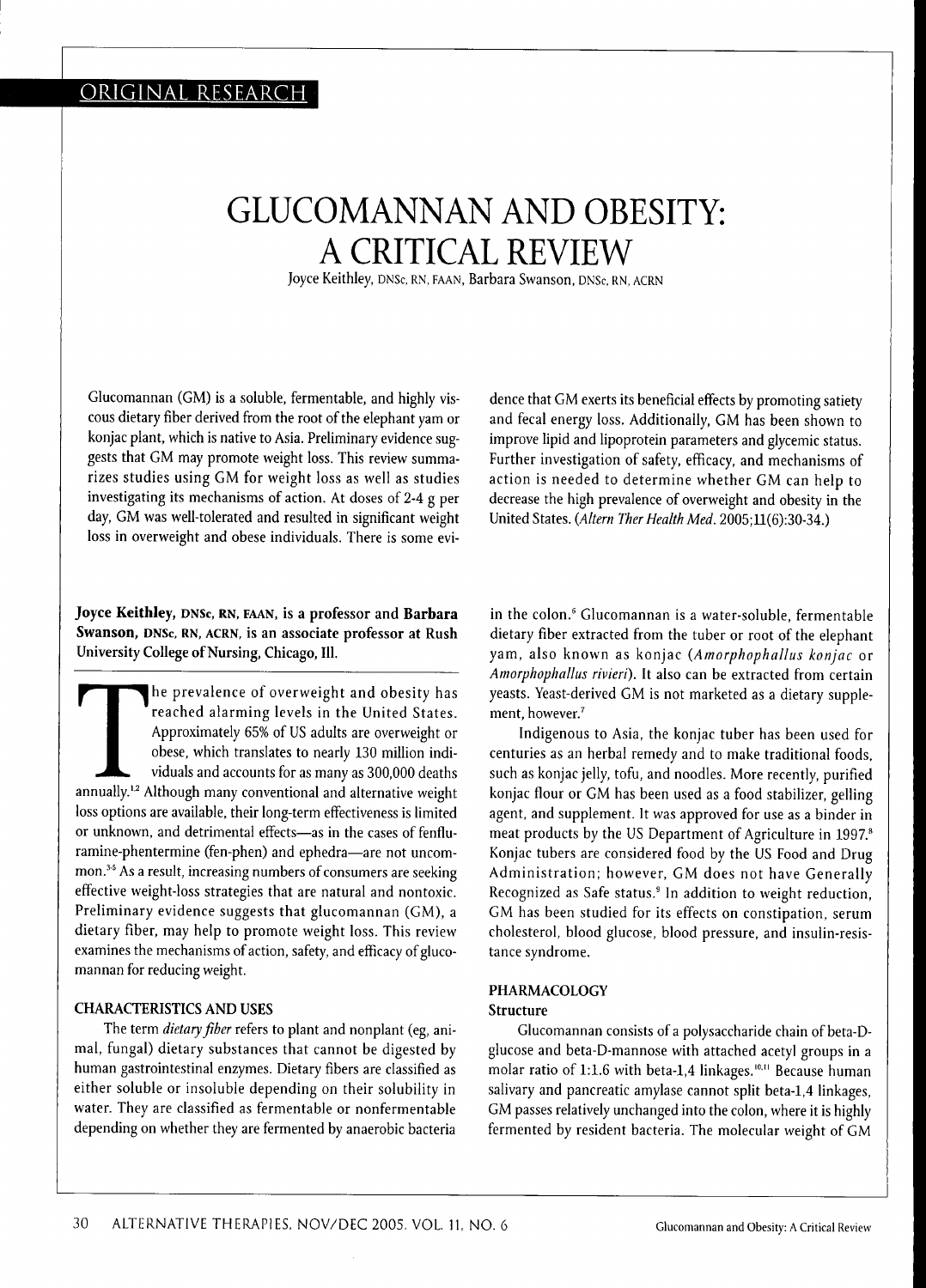# GLUCOMANNAN AND OBESITY: A CRITICAL REVIEW

Joyce Keithley, DNSc, RN, FAAN, Barbara Swanson, DNSc, RN, ACRN

Glucomannan (GM) is a soluble, fermentable, and highly viscous dietary fiber derived from the root of the elephant yam or konjac plant, which is native to Asia. Preliminary evidence suggests that GM may promote weight loss. This review summarizes studies using GM for weight loss as well as studies investigating its mechanisms of action. At doses of 2-4 g per day, GM was well-tolerated and resulted in significant weight loss in overweight and obese individuals. There is some evi-

### **Joyce Keithley,** DNSC, RN, FAAN, is a professor and **Barbara Swanson,** DNSc, RN, ACRN, is an associate professor at Rush University College of Nursing, Chicago, **111.**

The prevalence of overweight and obesity has<br>reached alarming levels in the United States.<br>Approximately 65% of US adults are overweight or<br>obese, which translates to nearly 130 million indi-<br>viduals and accounts for as ma he prevalence of overweight and obesity has reached alarming levels in the United States. Approximately 65% of US adults are overweight or obese, which translates to nearly 130 million individuals and accounts for as many as 300,000 deaths loss options are available, their long-term effectiveness is limited or unknown, and detrimental effects—as in the cases of fenfluramine-phentermine (fen-phen) and ephedra—are not uncommon.<sup>35</sup> As a result, increasing numbers of consumers are seeking effective weight-loss strategies that are natural and nontoxic. Preliminary evidence suggests that glucomannan (GM), a dietary fiber, may help to promote weight loss. This review examines the mechanisms of action, safety, and efficacy of glucomannan for reducing weight,

#### CHARACTERISTICS AND USES

The term *dietary fiber* refers to plant and nonplant (eg, animal, fungal) dietary substances that cannot be digested by human gastrointestinal enzymes. Dietary fibers are classified as either soluble or insoluble depending on their solubility in water. They are classified as fermentable or nonfermentable depending on whether they are fermented by anaerobic bacteria dence that GM exerts its beneficial effects by promoting satiety and fecal energy loss. Additionally, GM has been shown to improve lipid and lipoprotein parameters and glycemic status. Further investigation of safety, efficacy, and mechanisms of action is needed to determine whether GM can help to decrease the high prevalence of overweight and obesity in the United States. *{Altern Ther Health Med.* 2005;ll(6):30-34.)

in the colon,\* Glucomannan is a water-soluble, fermentable dietary fiber extracted from the tuber or root of the elephant yam, also known as konjac *{Amorphophallus konjae* or *Amorphophallus rivieri).* It also can be extracted from certain yeasts. Yeast-derived GM is not marketed as a dietary supplement, however.'

Indigenous to Asia, the konjac tuber has been used for centuries as an herbal remedy and to make traditional foods, such as konjac jelly, tofu, and noodles. More recently, purified konjac flour or GM has been used as a food stabilizer, gelling agent, and supplement. It was approved for use as a binder in meat products by the US Department of Agriculture in 1997.<sup>8</sup> Konjac tubers are considered food by the US Food and Drug Administration; however, GM does not have Generally Recognized as Safe status,' In addition to weight reduction, GM has been studied for its effects on constipation, serum cholesterol, blood glucose, blood pressure, and insulin-resistance syndrome.

### PHARMACOLOGY

#### **Structure**

Glucomannan consists of a polysaccharide chain of beta-Dglucose and beta-D-mannose with attached acetyl groups in a molar ratio of 1:1.6 with beta-1,4 linkages.<sup>10,11</sup> Because human salivary and pancreatic amylase cannot split beta-1,4 linkages, GM passes relatively unchanged into the colon, where it is highly fermented by resident bacteria. The molecular weight of GM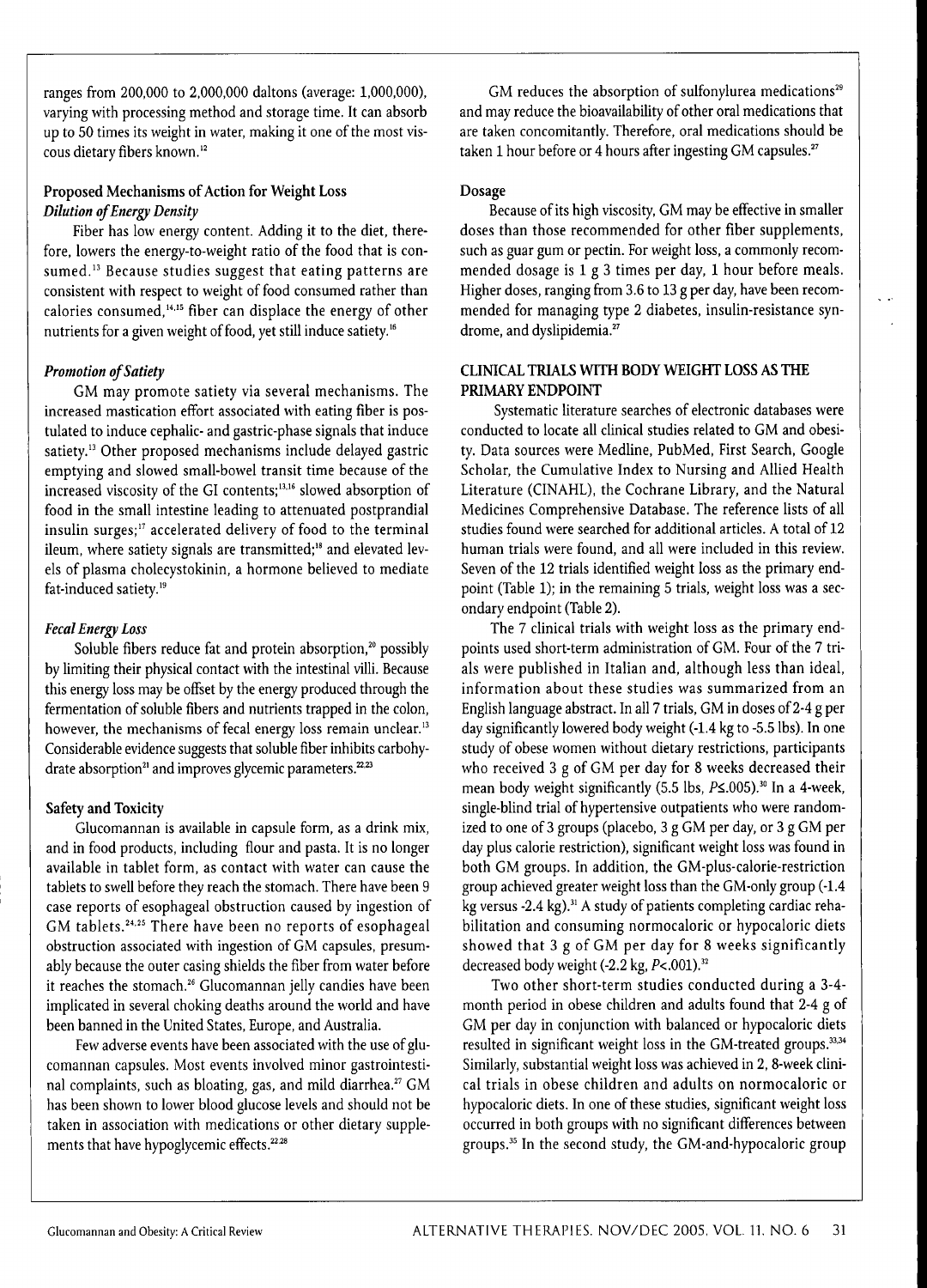ranges from 200,000 to 2,000,000 daltons (average: 1,000,000), varying with processing method and storage time. It can absorb up to 50 times its weight in water, making it one of the most viscous dietary fibers known.<sup>12</sup>

# **Proposed Mechanisms of Action for Weight Loss** *Dilution of Energy Density*

Fiber has low energy content. Adding it to the diet, therefore, lowers the energy-to-weight ratio of the food that is consumed.<sup>13</sup> Because studies suggest that eating patterns are consistent with respect to weight of food consumed rather than calories consumed,<sup>14,15</sup> fiber can displace the energy of other nutrients for a given weight of food, yet still induce satiety."

# *Promotion of Satiety*

GM may promote satiety via several mechanisms. The increased mastication effort associated with eating fiber is postulated to induce cephalic- and gastric-phase signals that induce satiety." Other proposed mechanisms include delayed gastric emptying and slowed small-bowel transit time because of the increased viscosity of the GI contents;<sup>13,16</sup> slowed absorption of food in the small intestine leading to attenuated postprandial insulin surges;" accelerated delivery of food to the terminal ileum, where satiety signals are transmitted;<sup>18</sup> and elevated levels of plasma cholecystokinin, a hormone believed to mediate fat-induced satiety.<sup>19</sup>

# *Fecal Energy Loss*

Soluble fibers reduce fat and protein absorption,<sup>20</sup> possibly by limiting their physical contact with the intestinal villi. Because this energy loss may be offset by the energy produced through the fermentation of soluble fibers and nutrients trapped in the colon, however, the mechanisms of fecal energy loss remain unclear.<sup>13</sup> Considerable evidence suggests that soluble fiber inhibits carbohydrate absorption<sup>21</sup> and improves glycemic parameters.<sup>22,23</sup>

# **Safety and Toxicity**

Glucomannan is available in capsule form, as a drink mix, and in food products, including flour and pasta. It is no longer available in tablet form, as contact with water can cause the tablets to swell before they reach the stomach. There have been 9 case reports of esophageal obstruction caused by ingestion of GM tablets.<sup>24,25</sup> There have been no reports of esophageal obstruction associated with ingestion of GM capsules, presumably because the outer casing shields the fiber from water before it reaches the stomach.<sup>26</sup> Glucomannan jelly candies have been implicated in several choking deaths around the world and have been banned in the United States, Europe, and Australia.

Few adverse events have been associated with the use of glucomannan capsules. Most events involved minor gastrointestinal complaints, such as bloating, gas, and mild diarrhea. $27$  GM has been shown to lower blood glucose levels and should not be taken in association with medications or other dietary supplements that have hypoglycemic effects.<sup>22,28</sup>

GM reduces the absorption of sulfonylurea medications<sup>29</sup> and may reduce the bioavailability of other oral medications that are taken concomitantly. Therefore, oral medications should be taken 1 hour before or 4 hours after ingesting GM capsules.<sup>27</sup>

#### **Dosage**

Because of its high viscosity, GM may be effective in smaller doses than those recommended for other fiber supplements, such as guar gum or pectin. For weight loss, a commonly recommended dosage is 1 g 3 times per day, 1 hour before meals. Higher doses, ranging from 3.6 to 13 g per day, have been recommended for managing type 2 diabetes, insulin-resistance syndrome, and dyslipidemia.<sup>27</sup>

### **CLINICAL TRIALS WITH BODY WEIGHT LOSS AS THE PRIMARY ENDPOINT**

Systematic literature searches of electronic databases were conducted to locate all clinical studies related to GM and obesity. Data sources were Medline, PubMed, First Search, Google Scholar, the Cumulative Index to Nursing and Allied Health Literature (CINAHL), the Cochrane Library, and the Natural Medicines Comprehensive Database. The reference lists of all studies found were searched for additional articles. A total of 12 human trials were found, and all were included in this review. Seven of the 12 trials identified weight loss as the primary endpoint (Table 1); in the remaining 5 trials, weight loss was a secondary endpoint (Table 2).

The 7 clinical trials with weight loss as the primary endpoints used short-term administration of GM. Four of the 7 trials were published in Italian and, although less than ideal, information about these studies was summarized from an English language abstract. In all 7 trials, GM in doses of 2-4 g per day significantly lowered body weight (-1.4 kg to -5.5 lbs). In one study of obese women without dietary restrictions, participants who received 3 g of GM per day for 8 weeks decreased their mean body weight significantly (5.5 lbs,  $P\leq 0.005$ ).<sup>30</sup> In a 4-week, single-blind trial of hypertensive outpatients who were randomized to one of 3 groups (placebo, 3 g GM per day, or 3 g GM per day plus calorie restriction), significant weight loss was found in both GM groups. In addition, the GM-plus-calorie-restriction group achieved greater weight loss than the GM-only group (-1.4 kg versus -2.4 kg).<sup>31</sup> A study of patients completing cardiac rehabilitation and consuming normocaloric or hypocaloric diets showed that 3 g of GM per day for 8 weeks significantly decreased body weight (-2.2 kg, P<.001).<sup>32</sup>

Two other short-term studies conducted during a 3-4 month period in obese children and adults found that 2-4 g of GM per day in conjunction with balanced or hypocaloric diets resulted in significant weight loss in the GM-treated groups.<sup>33,34</sup> Similarly, substantial weight loss was achieved in 2, 8-week clinical trials in obese children and adults on normocaloric or hypocaloric diets. In one of these studies, significant weight loss occurred in both groups with no significant differences between groups.<sup>35</sup> In the second study, the GM-and-hypocaloric group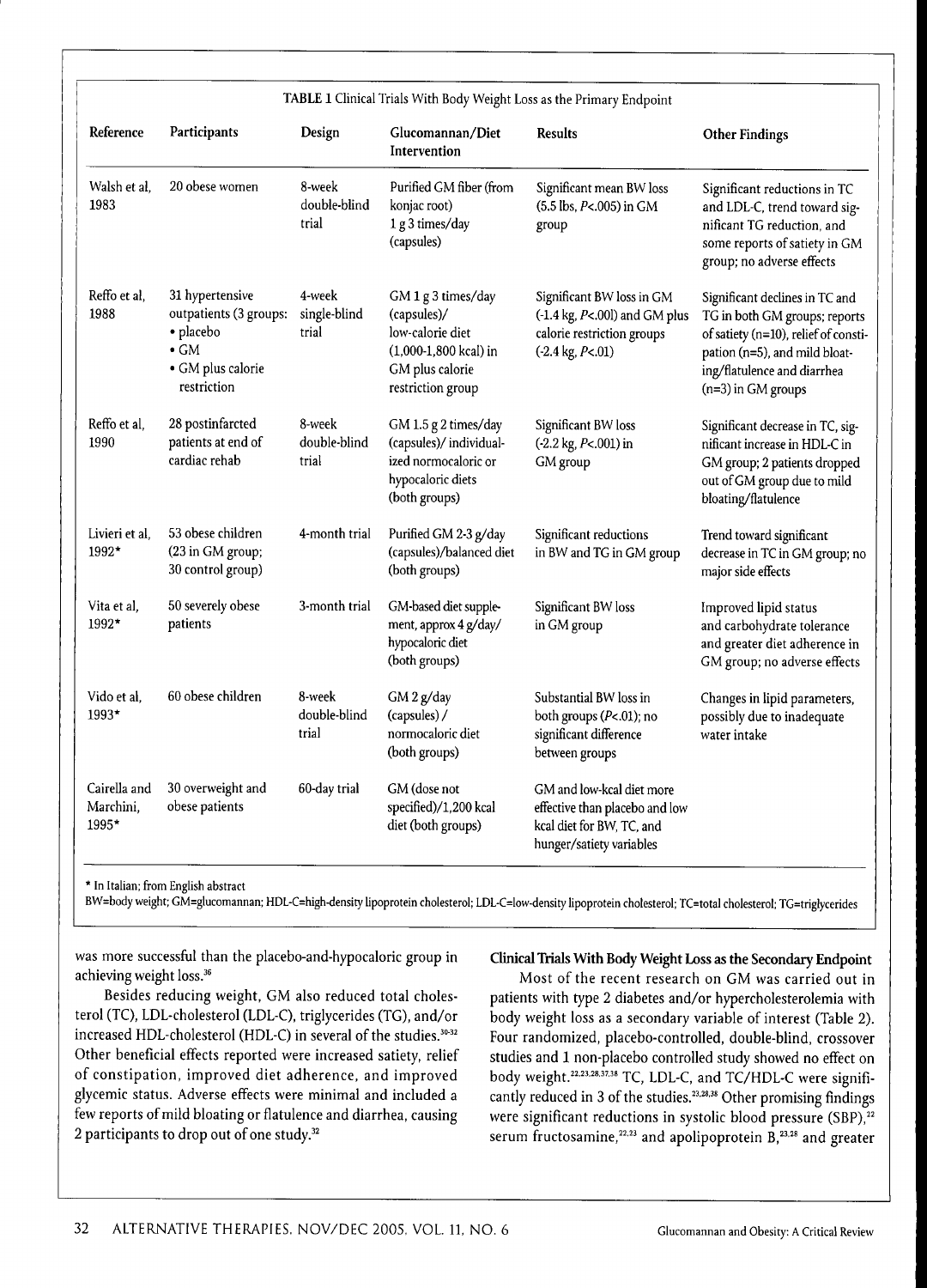| Reference                          | Participants                                                                                               | Design                          | Glucomannan/Diet<br>Intervention                                                                                         | <b>Results</b>                                                                                                                       | <b>Other Findings</b>                                                                                                                                                                           |
|------------------------------------|------------------------------------------------------------------------------------------------------------|---------------------------------|--------------------------------------------------------------------------------------------------------------------------|--------------------------------------------------------------------------------------------------------------------------------------|-------------------------------------------------------------------------------------------------------------------------------------------------------------------------------------------------|
| Walsh et al.<br>1983               | 20 obese women                                                                                             | 8-week<br>double-blind<br>trial | Purified GM fiber (from<br>konjac root)<br>1 g 3 times/day<br>(capsules)                                                 | Significant mean BW loss<br>(5.5 lbs, P<.005) in GM<br>group                                                                         | Significant reductions in TC<br>and LDL-C, trend toward sig-<br>nificant TG reduction, and<br>some reports of satiety in GM<br>group; no adverse effects                                        |
| Reffo et al,<br>1988               | 31 hypertensive<br>outpatients (3 groups:<br>· placebo<br>$\bullet$ GM<br>· GM plus calorie<br>restriction | 4-week<br>single-blind<br>trial | GM 1 g 3 times/day<br>(capsules)/<br>low-calorie diet<br>$(1,000-1,800$ kcal) in<br>GM plus calorie<br>restriction group | Significant BW loss in GM<br>$(-1.4 \text{ kg}, P<.001)$ and GM plus<br>calorie restriction groups<br>$( -2.4 \text{ kg}, P < .01 )$ | Significant declines in TC and<br>TG in both GM groups; reports<br>of satiety (n=10), relief of consti-<br>pation (n=5), and mild bloat-<br>ing/flatulence and diarrhea<br>$(n=3)$ in GM groups |
| Reffo et al.<br>1990               | 28 postinfarcted<br>patients at end of<br>cardiac rehab                                                    | 8-week<br>double-blind<br>trial | GM 1.5 g 2 times/day<br>(capsules)/individual-<br>ized normocaloric or<br>hypocaloric diets<br>(both groups)             | Significant BW loss<br>(-2.2 kg, P<.001) in<br>GM group                                                                              | Significant decrease in TC, sig-<br>nificant increase in HDL-C in<br>GM group; 2 patients dropped<br>out of GM group due to mild<br>bloating/flatulence                                         |
| Livieri et al,<br>1992*            | 53 obese children<br>(23 in GM group;<br>30 control group)                                                 | 4-month trial                   | Purified GM 2-3 g/day<br>(capsules)/balanced diet<br>(both groups)                                                       | Significant reductions<br>in BW and TG in GM group                                                                                   | Trend toward significant<br>decrease in TC in GM group; no<br>major side effects                                                                                                                |
| Vita et al.<br>1992*               | 50 severely obese<br>patients                                                                              | 3-month trial                   | GM-based diet supple-<br>ment, approx 4 g/day/<br>hypocaloric diet<br>(both groups)                                      | Significant BW loss<br>in GM group                                                                                                   | Improved lipid status<br>and carbohydrate tolerance<br>and greater diet adherence in<br>GM group; no adverse effects                                                                            |
| Vido et al.<br>1993*               | 60 obese children                                                                                          | 8-week<br>double-blind<br>trial | GM 2 g/day<br>(capsules) /<br>normocaloric diet<br>(both groups)                                                         | Substantial BW loss in<br>both groups (P<.01); no<br>significant difference<br>between groups                                        | Changes in lipid parameters,<br>possibly due to inadequate<br>water intake                                                                                                                      |
| Cairella and<br>Marchini.<br>1995* | 30 overweight and<br>obese patients                                                                        | 60-day trial                    | GM (dose not<br>specified)/1,200 kcal<br>diet (both groups)                                                              | GM and low-kcal diet more<br>effective than placebo and low<br>kcal diet for BW, TC, and<br>hunger/satiety variables                 |                                                                                                                                                                                                 |

\* In Italian; from English abstract

BW=body weight; GM=glucomannan; HDL-C=high-density lipoprotein cholesterol; LDL-C=low-density lipoprotein cholesterol; TC=total cholesterol; TG=triglycerides

was more successful than the placebo-and-hypocaloric group in achieving weight loss.<sup>36</sup>

Besides reducing weight, GM also reduced total cholesterol (TC), LDL-cholesterol (LDL-C), triglycerides (TG), and/or increased HDL-cholesterol (HDL-C) in several of the studies. $30-32$ Other beneficial effects reported were increased satiety, relief of constipation, improved diet adherence, and improved glycemic status. Adverse effects were minimal and included a few reports of mild bloating or flatulence and diarrhea, causing 2 participants to drop out of one study. $32$ 

**Clinical Trials With Body Weight Loss as the Secondary Endpoint**

Most of the recent research on GM was carried out in patients with type 2 diabetes and/or hypercholesterolemia with body weight loss as a secondary variable of interest (Table 2). Four randomized, placebo-controlled, double-blind, crossover studies and 1 non-placebo controlled study showed no effect on body weight.<sup>22,23,28,37,38</sup> TC, LDL-C, and TC/HDL-C were significantly reduced in 3 of the studies. $^{23,28,38}$  Other promising findings were significant reductions in systolic blood pressure  $(SBP)$ ,<sup>22</sup> serum fructosamine,<sup>22,23</sup> and apolipoprotein  $B$ ,<sup>23,28</sup> and greater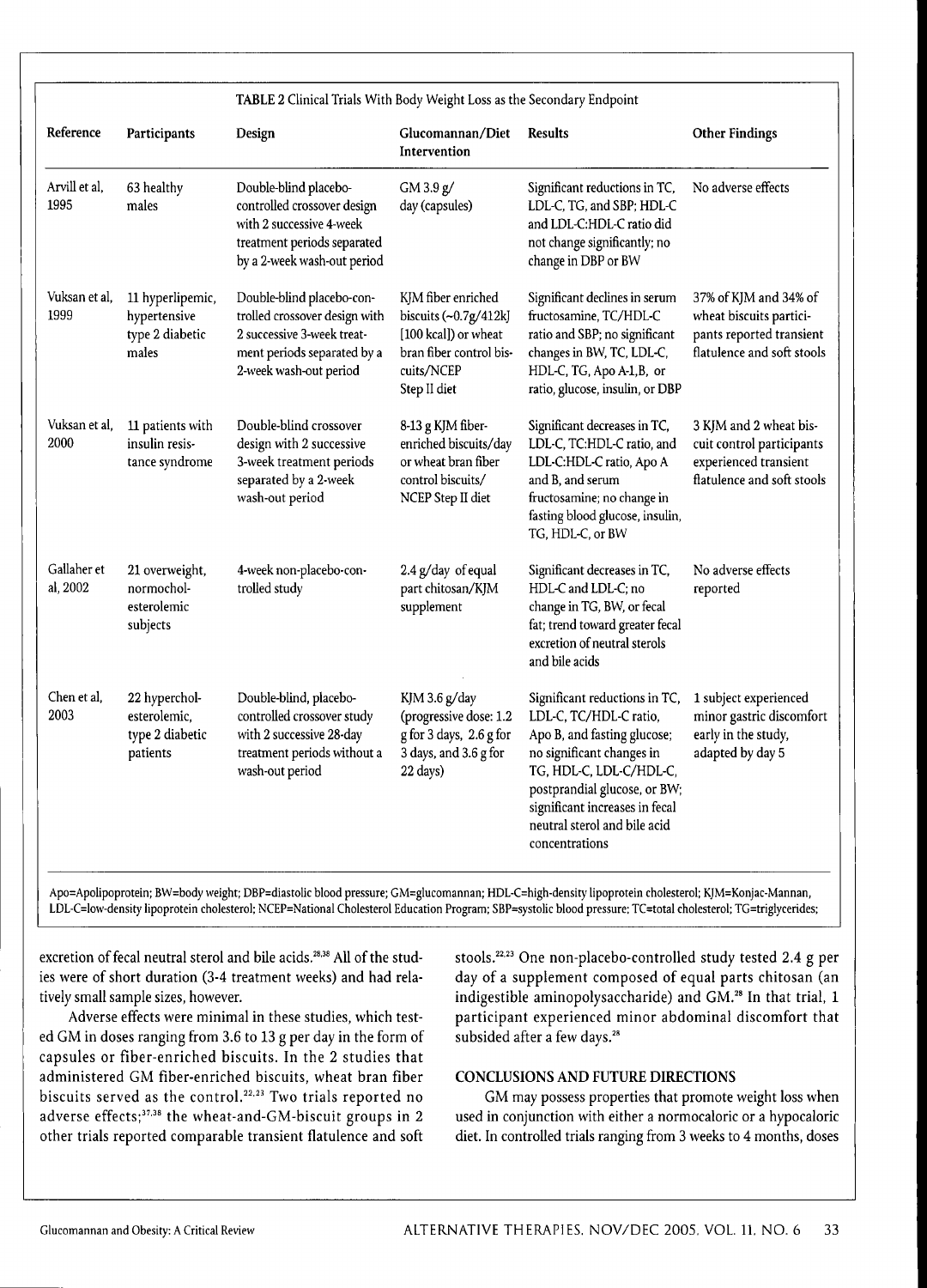| TABLE 2 Clinical Trials With Body Weight Loss as the Secondary Endpoint |                                                              |                                                                                                                                                   |                                                                                                                               |                                                                                                                                                                                                                                                                    |                                                                                                            |  |
|-------------------------------------------------------------------------|--------------------------------------------------------------|---------------------------------------------------------------------------------------------------------------------------------------------------|-------------------------------------------------------------------------------------------------------------------------------|--------------------------------------------------------------------------------------------------------------------------------------------------------------------------------------------------------------------------------------------------------------------|------------------------------------------------------------------------------------------------------------|--|
| Reference                                                               | Participants                                                 | Design                                                                                                                                            | Glucomannan/Diet<br>Intervention                                                                                              | <b>Results</b>                                                                                                                                                                                                                                                     | <b>Other Findings</b>                                                                                      |  |
| Arvill et al.<br>1995                                                   | 63 healthy<br>males                                          | Double-blind placebo-<br>controlled crossover design<br>with 2 successive 4-week<br>treatment periods separated<br>by a 2-week wash-out period    | GM3.9 g/<br>day (capsules)                                                                                                    | Significant reductions in TC,<br>LDL-C, TG, and SBP; HDL-C<br>and LDL-C:HDL-C ratio did<br>not change significantly; no<br>change in DBP or BW                                                                                                                     | No adverse effects                                                                                         |  |
| Vuksan et al,<br>1999                                                   | 11 hyperlipemic,<br>hypertensive<br>type 2 diabetic<br>males | Double-blind placebo-con-<br>trolled crossover design with<br>2 successive 3-week treat-<br>ment periods separated by a<br>2-week wash-out period | KJM fiber enriched<br>biscuits $(-0.7g/412k$<br>[100 kcal]) or wheat<br>bran fiber control bis-<br>cuits/NCEP<br>Step II diet | Significant declines in serum<br>fructosamine, TC/HDL-C<br>ratio and SBP; no significant<br>changes in BW, TC, LDL-C,<br>HDL-C, TG, Apo A-1,B, or<br>ratio, glucose, insulin, or DBP                                                                               | 37% of KJM and 34% of<br>wheat biscuits partici-<br>pants reported transient<br>flatulence and soft stools |  |
| Vuksan et al.<br>2000                                                   | 11 patients with<br>insulin resis-<br>tance syndrome         | Double-blind crossover<br>design with 2 successive<br>3-week treatment periods<br>separated by a 2-week<br>wash-out period                        | 8-13 g KJM fiber-<br>enriched biscuits/day<br>or wheat bran fiber<br>control biscuits/<br>NCEP Step II diet                   | Significant decreases in TC,<br>LDL-C, TC:HDL-C ratio, and<br>LDL-C:HDL-C ratio, Apo A<br>and B, and serum<br>fructosamine; no change in<br>fasting blood glucose, insulin,<br>TG, HDL-C, or BW                                                                    | 3 KJM and 2 wheat bis-<br>cuit control participants<br>experienced transient<br>flatulence and soft stools |  |
| Gallaher et<br>al, 2002                                                 | 21 overweight,<br>normochol-<br>esterolemic<br>subjects      | 4-week non-placebo-con-<br>trolled study                                                                                                          | 2.4 g/day of equal<br>part chitosan/KJM<br>supplement                                                                         | Significant decreases in TC,<br>HDL-C and LDL-C; no<br>change in TG, BW, or fecal<br>fat; trend toward greater fecal<br>excretion of neutral sterols<br>and bile acids                                                                                             | No adverse effects<br>reported                                                                             |  |
| Chen et al.<br>2003                                                     | 22 hyperchol-<br>esterolemic,<br>type 2 diabetic<br>patients | Double-blind, placebo-<br>controlled crossover study<br>with 2 successive 28-day<br>treatment periods without a<br>wash-out period                | KJM 3.6 g/day<br>(progressive dose: 1.2<br>g for 3 days, 2.6 g for<br>3 days, and 3.6 g for<br>22 days)                       | Significant reductions in TC,<br>LDL-C, TC/HDL-C ratio,<br>Apo B, and fasting glucose;<br>no significant changes in<br>TG, HDL-C, LDL-C/HDL-C,<br>postprandial glucose, or BW;<br>significant increases in fecal<br>neutral sterol and bile acid<br>concentrations | 1 subject experienced<br>minor gastric discomfort<br>early in the study,<br>adapted by day 5               |  |

Apo=Apolipoprotein; BW=body weight; DBP=diastolic blood pressure; GM=glucomannan; HDL-C=high-density lipoprotein cholesterol; KJM=Konjac-Mannan, LDL-C=low-density lipoprotein cholesterol; NCEP=National Cholesterol Education Program; SBP=systolic blood pressure; TC=total cholesterol; TG=triglycerides;

excretion of fecal neutral sterol and bile acids.<sup>28,38</sup> All of the studies were of short duration (3-4 treatment weeks) and had relatively small sample sizes, however.

Adverse effects were minimal in these studies, which tested GM in doses ranging from 3.6 to 13 g per day in the form of capsules or fiber-enriched biscuits. In the 2 studies that administered GM fiber-enriched biscuits, wheat bran fiber biscuits served as the control.<sup>22,23</sup> Two trials reported no adverse effects;<sup>37,38</sup> the wheat-and-GM-biscuit groups in 2 other trials reported comparable transient flatulence and soft stools.<sup>22,23</sup> One non-placebo-controlled study tested 2.4 g per day of a supplement composed of equal parts chitosan (an indigestible aminopolysaccharide) and GM.<sup>28</sup> In that trial, 1 participant experienced minor abdominal discomfort that subsided after a few days.<sup>28</sup>

#### **CONCLUSIONS AND FUTURE DIRECTIONS**

GM may possess properties that promote weight loss when used in conjunction with either a normocaloric or a hypocaloric diet. In controlled trials ranging from 3 weeks to 4 months, doses